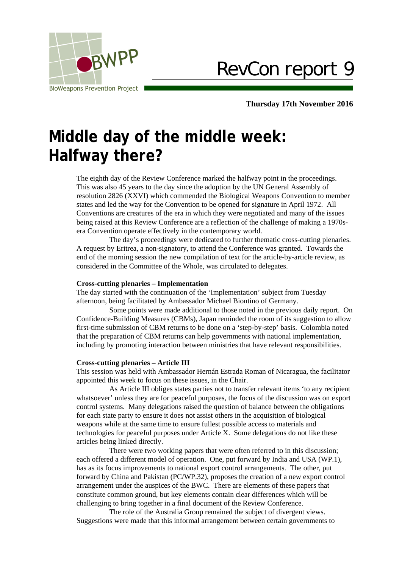

RevCon report 9

**Thursday 17th November 2016**

# **Middle day of the middle week: Halfway there?**

The eighth day of the Review Conference marked the halfway point in the proceedings. This was also 45 years to the day since the adoption by the UN General Assembly of resolution 2826 (XXVI) which commended the Biological Weapons Convention to member states and led the way for the Convention to be opened for signature in April 1972. All Conventions are creatures of the era in which they were negotiated and many of the issues being raised at this Review Conference are a reflection of the challenge of making a 1970sera Convention operate effectively in the contemporary world.

The day's proceedings were dedicated to further thematic cross-cutting plenaries. A request by Eritrea, a non-signatory, to attend the Conference was granted. Towards the end of the morning session the new compilation of text for the article-by-article review, as considered in the Committee of the Whole, was circulated to delegates.

### **Cross-cutting plenaries – Implementation**

The day started with the continuation of the 'Implementation' subject from Tuesday afternoon, being facilitated by Ambassador Michael Biontino of Germany.

Some points were made additional to those noted in the previous daily report. On Confidence-Building Measures (CBMs), Japan reminded the room of its suggestion to allow first-time submission of CBM returns to be done on a 'step-by-step' basis. Colombia noted that the preparation of CBM returns can help governments with national implementation, including by promoting interaction between ministries that have relevant responsibilities.

#### **Cross-cutting plenaries – Article III**

This session was held with Ambassador Hernán Estrada Roman of Nicaragua, the facilitator appointed this week to focus on these issues, in the Chair.

As Article III obliges states parties not to transfer relevant items 'to any recipient whatsoever' unless they are for peaceful purposes, the focus of the discussion was on export control systems. Many delegations raised the question of balance between the obligations for each state party to ensure it does not assist others in the acquisition of biological weapons while at the same time to ensure fullest possible access to materials and technologies for peaceful purposes under Article X. Some delegations do not like these articles being linked directly.

There were two working papers that were often referred to in this discussion; each offered a different model of operation. One, put forward by India and USA (WP.1), has as its focus improvements to national export control arrangements. The other, put forward by China and Pakistan (PC/WP.32), proposes the creation of a new export control arrangement under the auspices of the BWC. There are elements of these papers that constitute common ground, but key elements contain clear differences which will be challenging to bring together in a final document of the Review Conference.

The role of the Australia Group remained the subject of divergent views. Suggestions were made that this informal arrangement between certain governments to